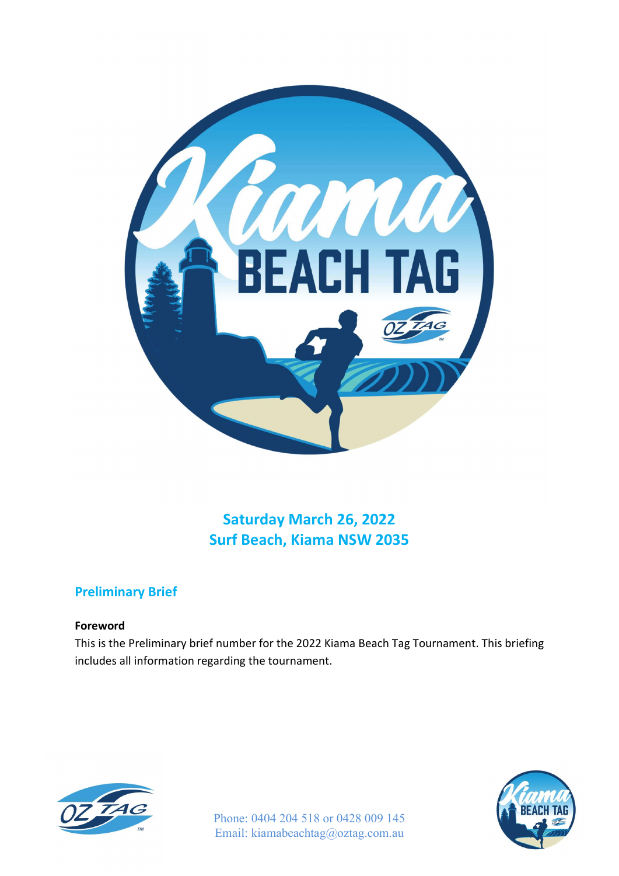

Saturday March 26, 2022 Surf Beach, Kiama NSW 2035

# Preliminary Brief

## Foreword

This is the Preliminary brief number for the 2022 Kiama Beach Tag Tournament. This briefing includes all information regarding the tournament.



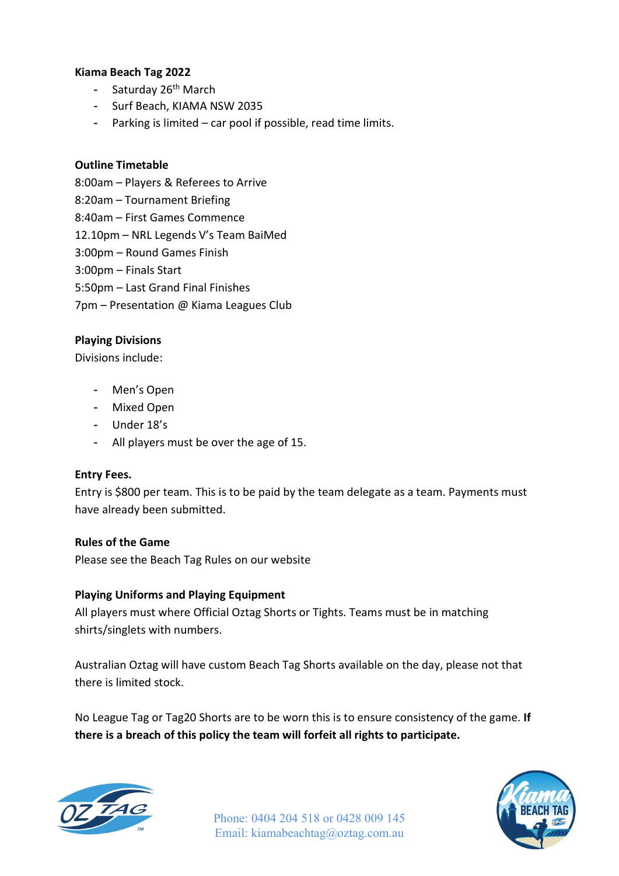### Kiama Beach Tag 2022

- Saturday 26<sup>th</sup> March
- Surf Beach, KIAMA NSW 2035
- Parking is limited car pool if possible, read time limits.

### Outline Timetable

- 8:00am Players & Referees to Arrive
- 8:20am Tournament Briefing
- 8:40am First Games Commence
- 12.10pm NRL Legends V's Team BaiMed
- 3:00pm Round Games Finish
- 3:00pm Finals Start
- 5:50pm Last Grand Final Finishes
- 7pm Presentation @ Kiama Leagues Club

## Playing Divisions

Divisions include:

- Men's Open
- Mixed Open
- Under 18's
- All players must be over the age of 15.

### Entry Fees.

Entry is \$800 per team. This is to be paid by the team delegate as a team. Payments must have already been submitted.

### Rules of the Game

Please see the Beach Tag Rules on our website

## Playing Uniforms and Playing Equipment

All players must where Official Oztag Shorts or Tights. Teams must be in matching shirts/singlets with numbers.

Australian Oztag will have custom Beach Tag Shorts available on the day, please not that there is limited stock.

No League Tag or Tag20 Shorts are to be worn this is to ensure consistency of the game. If there is a breach of this policy the team will forfeit all rights to participate.

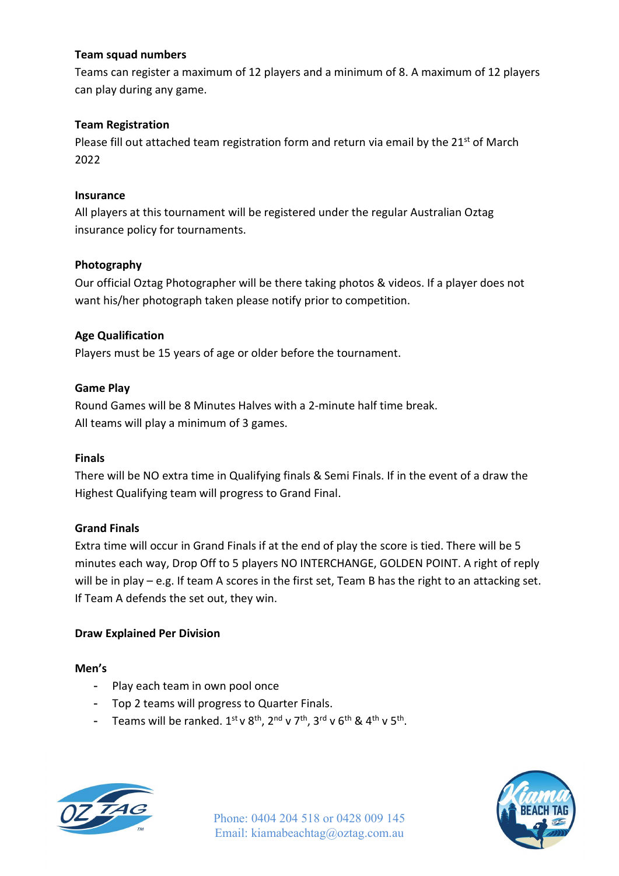## Team squad numbers

Teams can register a maximum of 12 players and a minimum of 8. A maximum of 12 players can play during any game.

## Team Registration

Please fill out attached team registration form and return via email by the  $21<sup>st</sup>$  of March 2022

## Insurance

All players at this tournament will be registered under the regular Australian Oztag insurance policy for tournaments.

## Photography

Our official Oztag Photographer will be there taking photos & videos. If a player does not want his/her photograph taken please notify prior to competition.

## Age Qualification

Players must be 15 years of age or older before the tournament.

## Game Play

Round Games will be 8 Minutes Halves with a 2-minute half time break. All teams will play a minimum of 3 games.

## Finals

There will be NO extra time in Qualifying finals & Semi Finals. If in the event of a draw the Highest Qualifying team will progress to Grand Final.

## Grand Finals

Extra time will occur in Grand Finals if at the end of play the score is tied. There will be 5 minutes each way, Drop Off to 5 players NO INTERCHANGE, GOLDEN POINT. A right of reply will be in play – e.g. If team A scores in the first set, Team B has the right to an attacking set. If Team A defends the set out, they win.

## Draw Explained Per Division

### Men's

- Play each team in own pool once
- Top 2 teams will progress to Quarter Finals.
- Teams will be ranked.  $1^{st}$  v  $8^{th}$ ,  $2^{nd}$  v  $7^{th}$ ,  $3^{rd}$  v  $6^{th}$  &  $4^{th}$  v  $5^{th}$ .